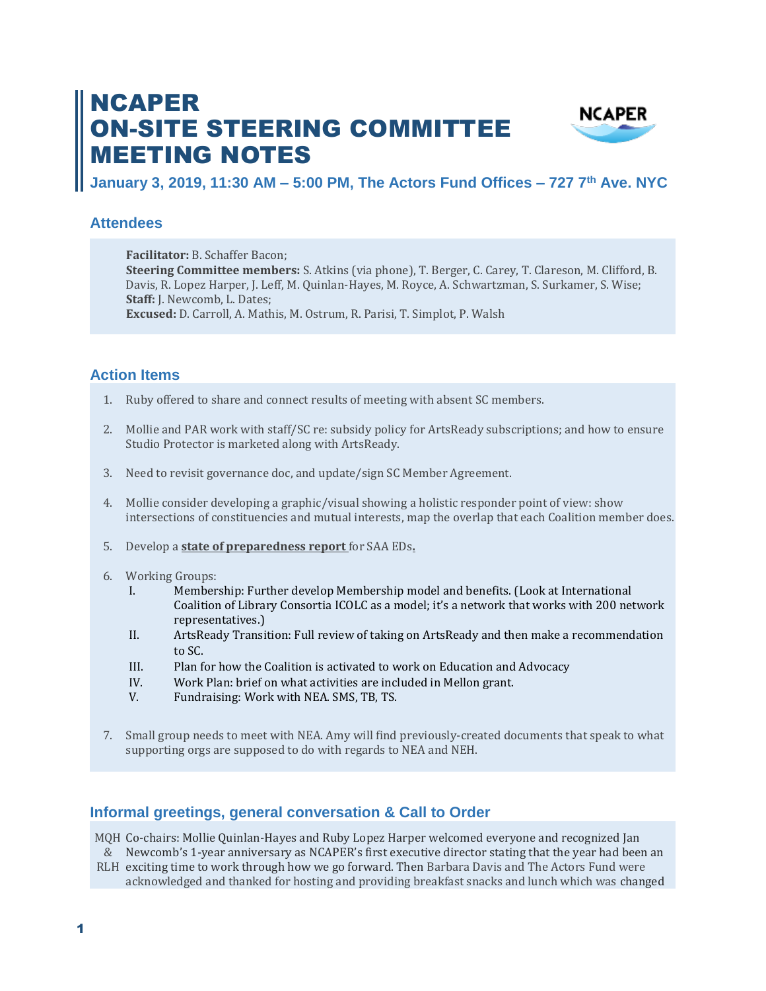# NCAPER ON-SITE STEERING COMMITTEE MEETING NOTES



**January 3, 2019, 11:30 AM – 5:00 PM, The Actors Fund Offices – 727 7th Ave. NYC**

## **Attendees**

**Facilitator:** B. Schaffer Bacon; **Steering Committee members:** S. Atkins (via phone), T. Berger, C. Carey, T. Clareson, M. Clifford, B. Davis, R. Lopez Harper, J. Leff, M. Quinlan-Hayes, M. Royce, A. Schwartzman, S. Surkamer, S. Wise; **Staff:** J. Newcomb, L. Dates; **Excused:** D. Carroll, A. Mathis, M. Ostrum, R. Parisi, T. Simplot, P. Walsh

# **Action Items**

- 1. Ruby offered to share and connect results of meeting with absent SC members.
- 2. Mollie and PAR work with staff/SC re: subsidy policy for ArtsReady subscriptions; and how to ensure Studio Protector is marketed along with ArtsReady.
- 3. Need to revisit governance doc, and update/sign SC Member Agreement.
- 4. Mollie consider developing a graphic/visual showing a holistic responder point of view: show intersections of constituencies and mutual interests, map the overlap that each Coalition member does.
- 5. Develop a **state of preparedness report** for SAA EDs**.**
- 6. Working Groups:
	- I. Membership: Further develop Membership model and benefits. (Look at International Coalition of Library Consortia ICOLC as a model; it's a network that works with 200 network representatives.)
	- II. ArtsReady Transition: Full review of taking on ArtsReady and then make a recommendation to SC.
	- III. Plan for how the Coalition is activated to work on Education and Advocacy
	- IV. Work Plan: brief on what activities are included in Mellon grant.
	- V. Fundraising: Work with NEA. SMS, TB, TS.
- 7. Small group needs to meet with NEA. Amy will find previously-created documents that speak to what supporting orgs are supposed to do with regards to NEA and NEH.

## **Informal greetings, general conversation & Call to Order**

MQH Co-chairs: Mollie Quinlan-Hayes and Ruby Lopez Harper welcomed everyone and recognized Jan

& Newcomb's 1-year anniversary as NCAPER's first executive director stating that the year had been an

RLH exciting time to work through how we go forward. Then Barbara Davis and The Actors Fund were acknowledged and thanked for hosting and providing breakfast snacks and lunch which was changed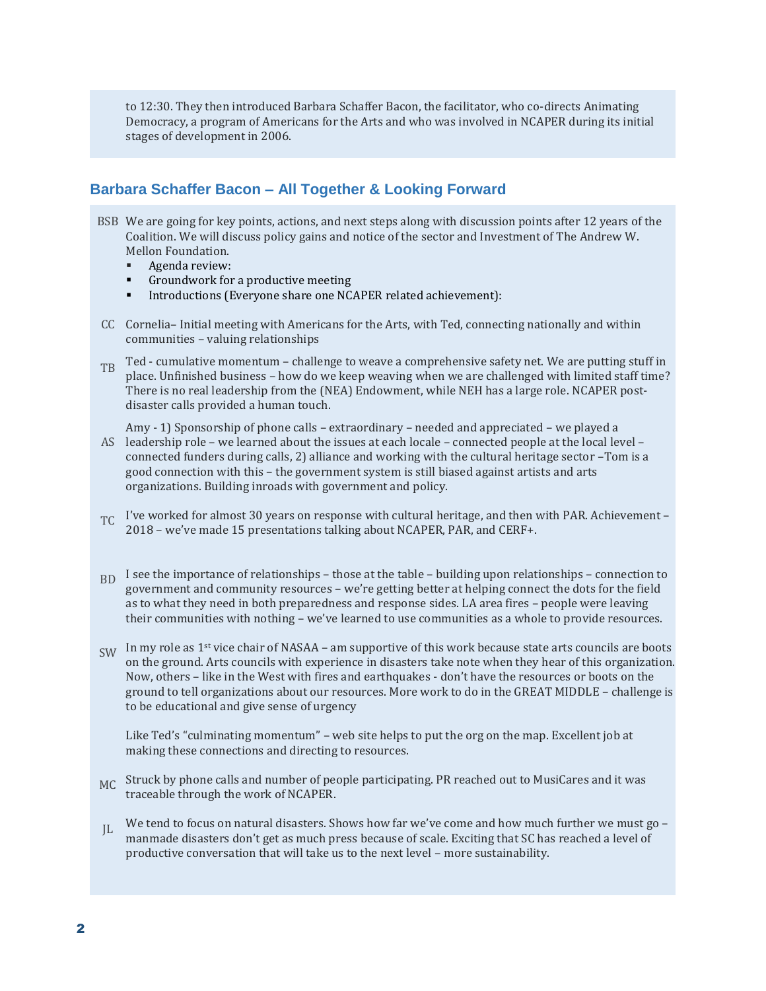to 12:30. They then introduced Barbara Schaffer Bacon, the facilitator, who co-directs Animating Democracy, a program of Americans for the Arts and who was involved in NCAPER during its initial stages of development in 2006.

## **Barbara Schaffer Bacon – All Together & Looking Forward**

- BSB We are going for key points, actions, and next steps along with discussion points after 12 years of the Coalition. We will discuss policy gains and notice of the sector and Investment of The Andrew W. Mellon Foundation.
	- Agenda review:
	- Groundwork for a productive meeting
	- Introductions (Everyone share one NCAPER related achievement):
- CC Cornelia– Initial meeting with Americans for the Arts, with Ted, connecting nationally and within communities – valuing relationships
- Ted cumulative momentum challenge to weave a comprehensive safety net. We are putting stuff in  $\Gamma_{\text{B}}$ place. Unfinished business – how do we keep weaving when we are challenged with limited staff time? There is no real leadership from the (NEA) Endowment, while NEH has a large role. NCAPER postdisaster calls provided a human touch.

AS leadership role – we learned about the issues at each locale – connected people at the local level – Amy - 1) Sponsorship of phone calls – extraordinary – needed and appreciated – we played a connected funders during calls, 2) alliance and working with the cultural heritage sector –Tom is a good connection with this – the government system is still biased against artists and arts organizations. Building inroads with government and policy.

- TC I've worked for almost 30 years on response with cultural heritage, and then with PAR. Achievement 2018 – we've made 15 presentations talking about NCAPER, PAR, and CERF+.
- B<sub>D</sub> I see the importance of relationships those at the table building upon relationships connection to government and community resources – we're getting better at helping connect the dots for the field as to what they need in both preparedness and response sides. LA area fires – people were leaving their communities with nothing – we've learned to use communities as a whole to provide resources.
- $SW$  In my role as 1<sup>st</sup> vice chair of NASAA am supportive of this work because state arts councils are boots on the ground. Arts councils with experience in disasters take note when they hear of this organization. Now, others – like in the West with fires and earthquakes - don't have the resources or boots on the ground to tell organizations about our resources. More work to do in the GREAT MIDDLE – challenge is to be educational and give sense of urgency

Like Ted's "culminating momentum" – web site helps to put the org on the map. Excellent job at making these connections and directing to resources.

- MC Struck by phone calls and number of people participating. PR reached out to MusiCares and it was traceable through the work of NCAPER.
- $IL$ We tend to focus on natural disasters. Shows how far we've come and how much further we must go manmade disasters don't get as much press because of scale. Exciting that SC has reached a level of productive conversation that will take us to the next level – more sustainability.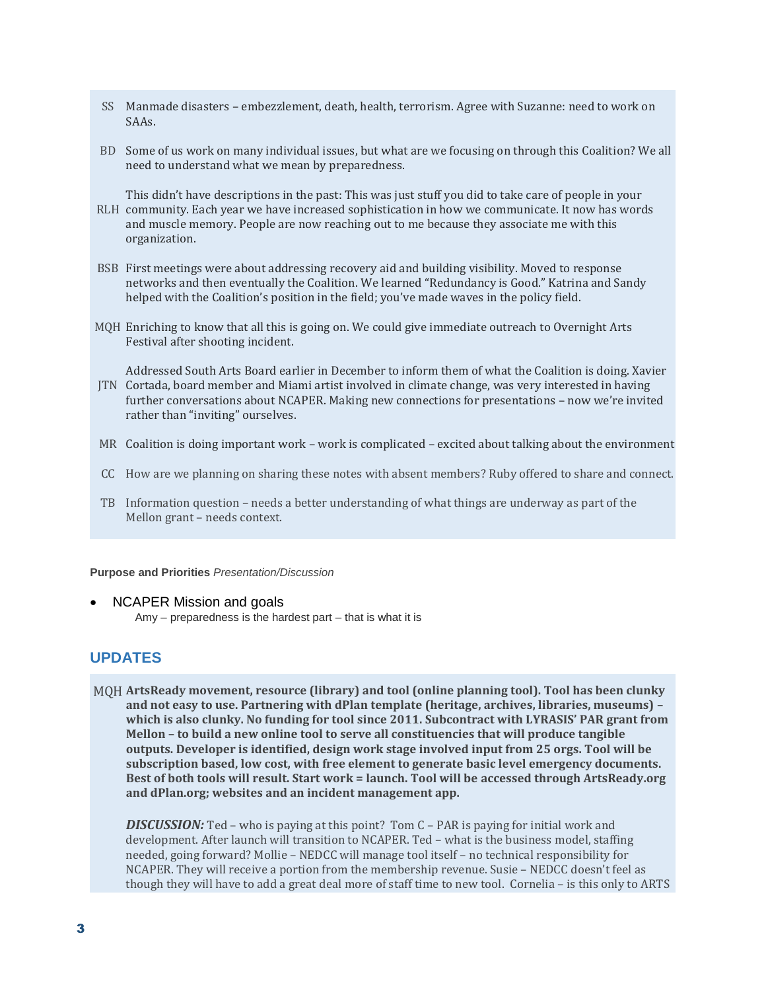- SS Manmade disasters embezzlement, death, health, terrorism. Agree with Suzanne: need to work on SAAs.
- BD Some of us work on many individual issues, but what are we focusing on through this Coalition? We all need to understand what we mean by preparedness.

RLH community. Each year we have increased sophistication in how we communicate. It now has words This didn't have descriptions in the past: This was just stuff you did to take care of people in your and muscle memory. People are now reaching out to me because they associate me with this organization.

- BSB First meetings were about addressing recovery aid and building visibility. Moved to response networks and then eventually the Coalition. We learned "Redundancy is Good." Katrina and Sandy helped with the Coalition's position in the field; you've made waves in the policy field.
- MQH Enriching to know that all this is going on. We could give immediate outreach to Overnight Arts Festival after shooting incident.

JTN Cortada, board member and Miami artist involved in climate change, was very interested in having Addressed South Arts Board earlier in December to inform them of what the Coalition is doing. Xavier further conversations about NCAPER. Making new connections for presentations – now we're invited rather than "inviting" ourselves.

- MR Coalition is doing important work work is complicated excited about talking about the environment
- CC How are we planning on sharing these notes with absent members? Ruby offered to share and connect.
- TB Information question needs a better understanding of what things are underway as part of the Mellon grant – needs context.

**Purpose and Priorities** *Presentation/Discussion*

• NCAPER Mission and goals

Amy – preparedness is the hardest part – that is what it is

## **UPDATES**

MQH **ArtsReady movement, resource (library) and tool (online planning tool). Tool has been clunky and not easy to use. Partnering with dPlan template (heritage, archives, libraries, museums) – which is also clunky. No funding for tool since 2011. Subcontract with LYRASIS' PAR grant from Mellon – to build a new online tool to serve all constituencies that will produce tangible outputs. Developer is identified, design work stage involved input from 25 orgs. Tool will be subscription based, low cost, with free element to generate basic level emergency documents. Best of both tools will result. Start work = launch. Tool will be accessed through ArtsReady.org and dPlan.org; websites and an incident management app.**

*DISCUSSION:* Ted – who is paying at this point? Tom C – PAR is paying for initial work and development. After launch will transition to NCAPER. Ted – what is the business model, staffing needed, going forward? Mollie – NEDCC will manage tool itself – no technical responsibility for NCAPER. They will receive a portion from the membership revenue. Susie – NEDCC doesn't feel as though they will have to add a great deal more of staff time to new tool. Cornelia – is this only to ARTS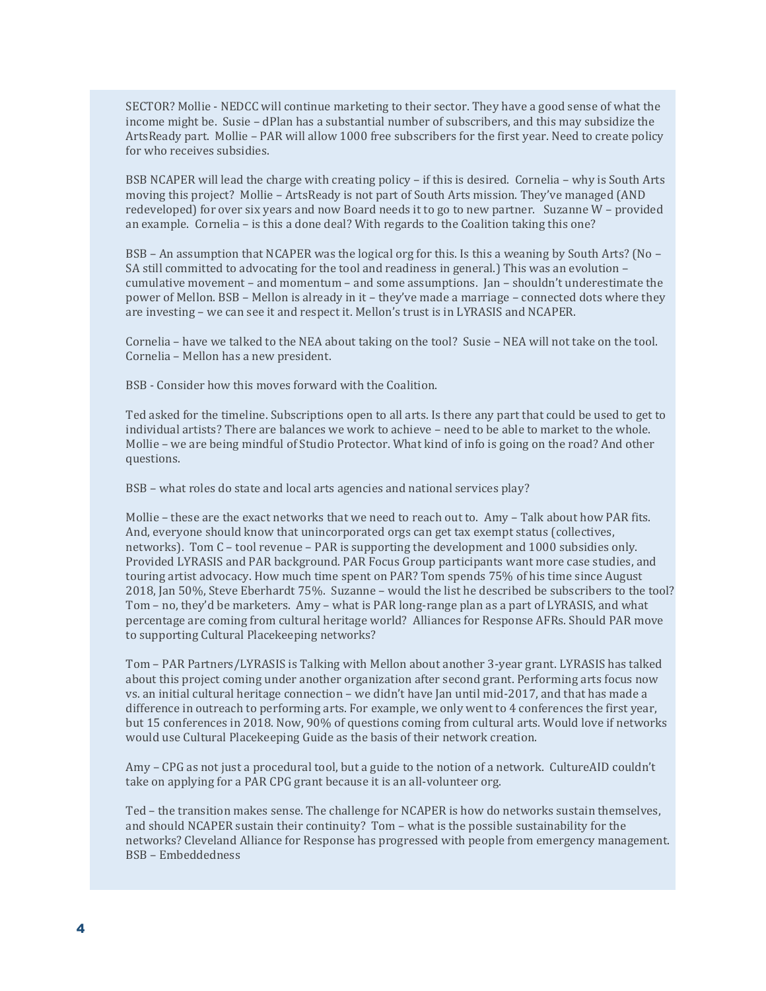SECTOR? Mollie - NEDCC will continue marketing to their sector. They have a good sense of what the income might be. Susie – dPlan has a substantial number of subscribers, and this may subsidize the ArtsReady part. Mollie – PAR will allow 1000 free subscribers for the first year. Need to create policy for who receives subsidies.

BSB NCAPER will lead the charge with creating policy – if this is desired. Cornelia – why is South Arts moving this project? Mollie – ArtsReady is not part of South Arts mission. They've managed (AND redeveloped) for over six years and now Board needs it to go to new partner. Suzanne W – provided an example. Cornelia – is this a done deal? With regards to the Coalition taking this one?

BSB – An assumption that NCAPER was the logical org for this. Is this a weaning by South Arts? (No – SA still committed to advocating for the tool and readiness in general.) This was an evolution – cumulative movement – and momentum – and some assumptions. Jan – shouldn't underestimate the power of Mellon. BSB – Mellon is already in it – they've made a marriage – connected dots where they are investing – we can see it and respect it. Mellon's trust is in LYRASIS and NCAPER.

Cornelia – have we talked to the NEA about taking on the tool? Susie – NEA will not take on the tool. Cornelia – Mellon has a new president.

BSB - Consider how this moves forward with the Coalition.

Ted asked for the timeline. Subscriptions open to all arts. Is there any part that could be used to get to individual artists? There are balances we work to achieve – need to be able to market to the whole. Mollie – we are being mindful of Studio Protector. What kind of info is going on the road? And other questions.

BSB – what roles do state and local arts agencies and national services play?

Mollie – these are the exact networks that we need to reach out to. Amy – Talk about how PAR fits. And, everyone should know that unincorporated orgs can get tax exempt status (collectives, networks). Tom C – tool revenue – PAR is supporting the development and 1000 subsidies only. Provided LYRASIS and PAR background. PAR Focus Group participants want more case studies, and touring artist advocacy. How much time spent on PAR? Tom spends 75% of his time since August 2018, Jan 50%, Steve Eberhardt 75%. Suzanne – would the list he described be subscribers to the tool? Tom – no, they'd be marketers. Amy – what is PAR long-range plan as a part of LYRASIS, and what percentage are coming from cultural heritage world? Alliances for Response AFRs. Should PAR move to supporting Cultural Placekeeping networks?

Tom – PAR Partners/LYRASIS is Talking with Mellon about another 3-year grant. LYRASIS has talked about this project coming under another organization after second grant. Performing arts focus now vs. an initial cultural heritage connection – we didn't have Jan until mid-2017, and that has made a difference in outreach to performing arts. For example, we only went to 4 conferences the first year, but 15 conferences in 2018. Now, 90% of questions coming from cultural arts. Would love if networks would use Cultural Placekeeping Guide as the basis of their network creation.

Amy – CPG as not just a procedural tool, but a guide to the notion of a network. CultureAID couldn't take on applying for a PAR CPG grant because it is an all-volunteer org.

Ted – the transition makes sense. The challenge for NCAPER is how do networks sustain themselves, and should NCAPER sustain their continuity? Tom – what is the possible sustainability for the networks? Cleveland Alliance for Response has progressed with people from emergency management. BSB – Embeddedness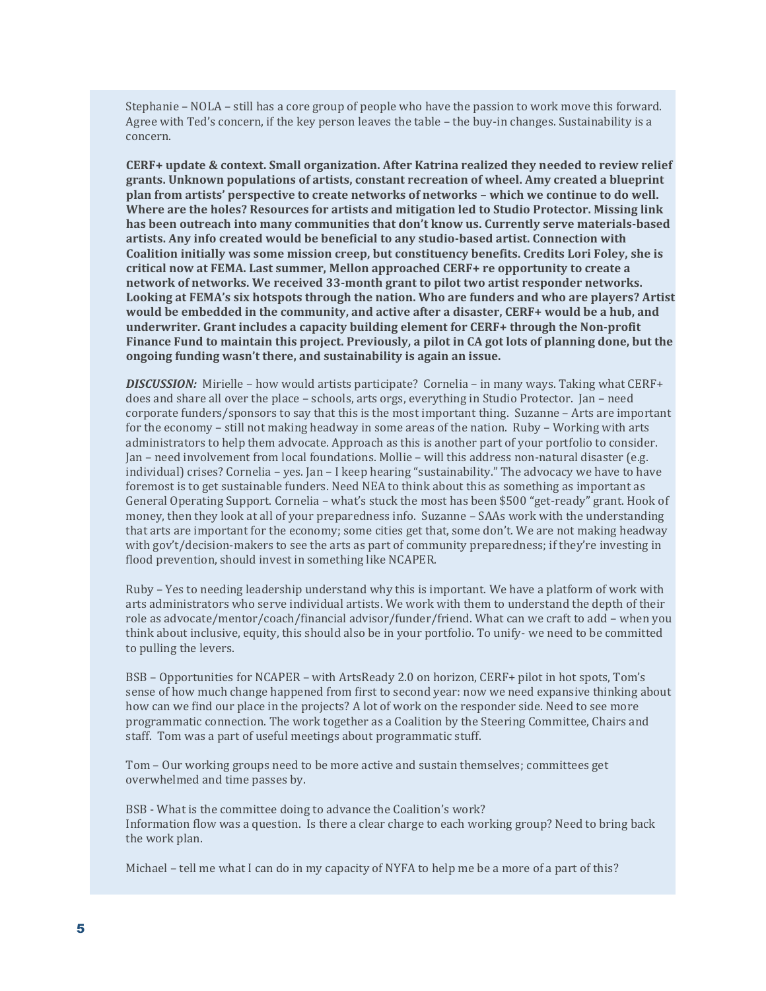Stephanie – NOLA – still has a core group of people who have the passion to work move this forward. Agree with Ted's concern, if the key person leaves the table – the buy-in changes. Sustainability is a concern.

**CERF+ update & context. Small organization. After Katrina realized they needed to review relief grants. Unknown populations of artists, constant recreation of wheel. Amy created a blueprint plan from artists' perspective to create networks of networks – which we continue to do well. Where are the holes? Resources for artists and mitigation led to Studio Protector. Missing link has been outreach into many communities that don't know us. Currently serve materials-based artists. Any info created would be beneficial to any studio-based artist. Connection with Coalition initially was some mission creep, but constituency benefits. Credits Lori Foley, she is critical now at FEMA. Last summer, Mellon approached CERF+ re opportunity to create a network of networks. We received 33-month grant to pilot two artist responder networks. Looking at FEMA's six hotspots through the nation. Who are funders and who are players? Artist would be embedded in the community, and active after a disaster, CERF+ would be a hub, and underwriter. Grant includes a capacity building element for CERF+ through the Non-profit Finance Fund to maintain this project. Previously, a pilot in CA got lots of planning done, but the ongoing funding wasn't there, and sustainability is again an issue.** 

*DISCUSSION:* Mirielle – how would artists participate? Cornelia – in many ways. Taking what CERF+ does and share all over the place – schools, arts orgs, everything in Studio Protector. Jan – need corporate funders/sponsors to say that this is the most important thing. Suzanne – Arts are important for the economy – still not making headway in some areas of the nation. Ruby – Working with arts administrators to help them advocate. Approach as this is another part of your portfolio to consider. Jan – need involvement from local foundations. Mollie – will this address non-natural disaster (e.g. individual) crises? Cornelia – yes. Jan – I keep hearing "sustainability." The advocacy we have to have foremost is to get sustainable funders. Need NEA to think about this as something as important as General Operating Support. Cornelia – what's stuck the most has been \$500 "get-ready" grant. Hook of money, then they look at all of your preparedness info. Suzanne – SAAs work with the understanding that arts are important for the economy; some cities get that, some don't. We are not making headway with gov't/decision-makers to see the arts as part of community preparedness; if they're investing in flood prevention, should invest in something like NCAPER.

Ruby – Yes to needing leadership understand why this is important. We have a platform of work with arts administrators who serve individual artists. We work with them to understand the depth of their role as advocate/mentor/coach/financial advisor/funder/friend. What can we craft to add – when you think about inclusive, equity, this should also be in your portfolio. To unify- we need to be committed to pulling the levers.

BSB – Opportunities for NCAPER – with ArtsReady 2.0 on horizon, CERF+ pilot in hot spots, Tom's sense of how much change happened from first to second year: now we need expansive thinking about how can we find our place in the projects? A lot of work on the responder side. Need to see more programmatic connection. The work together as a Coalition by the Steering Committee, Chairs and staff. Tom was a part of useful meetings about programmatic stuff.

Tom – Our working groups need to be more active and sustain themselves; committees get overwhelmed and time passes by.

BSB - What is the committee doing to advance the Coalition's work? Information flow was a question. Is there a clear charge to each working group? Need to bring back the work plan.

Michael – tell me what I can do in my capacity of NYFA to help me be a more of a part of this?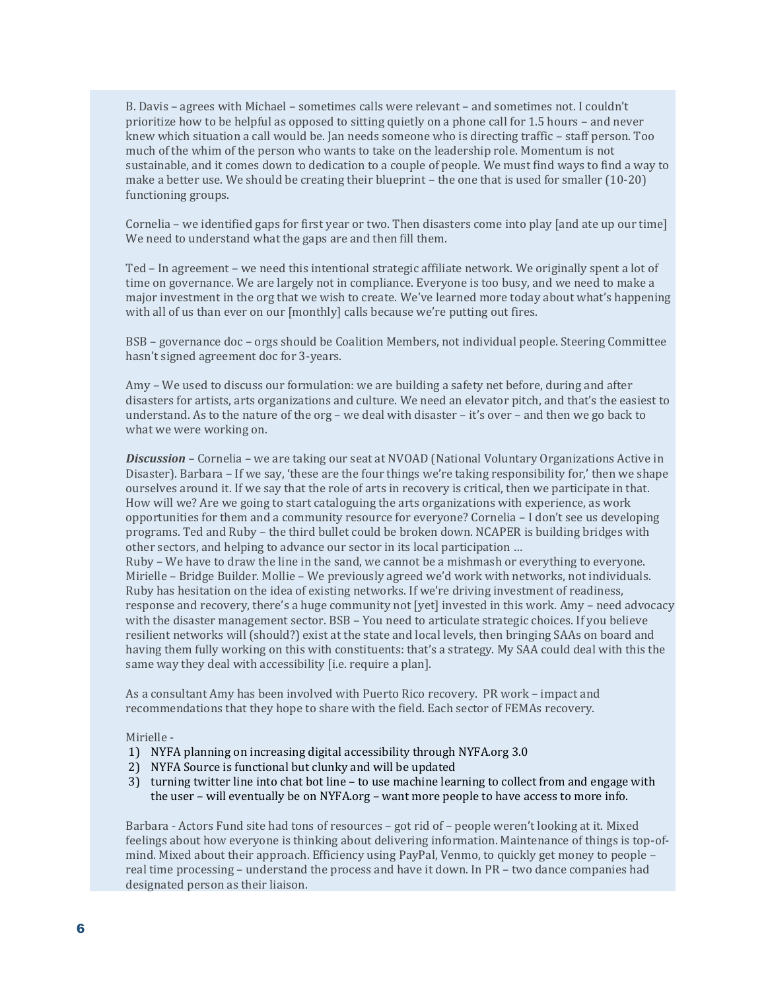B. Davis – agrees with Michael – sometimes calls were relevant – and sometimes not. I couldn't prioritize how to be helpful as opposed to sitting quietly on a phone call for 1.5 hours – and never knew which situation a call would be. Jan needs someone who is directing traffic – staff person. Too much of the whim of the person who wants to take on the leadership role. Momentum is not sustainable, and it comes down to dedication to a couple of people. We must find ways to find a way to make a better use. We should be creating their blueprint – the one that is used for smaller (10-20) functioning groups.

Cornelia – we identified gaps for first year or two. Then disasters come into play [and ate up our time] We need to understand what the gaps are and then fill them.

Ted – In agreement – we need this intentional strategic affiliate network. We originally spent a lot of time on governance. We are largely not in compliance. Everyone is too busy, and we need to make a major investment in the org that we wish to create. We've learned more today about what's happening with all of us than ever on our [monthly] calls because we're putting out fires.

BSB – governance doc – orgs should be Coalition Members, not individual people. Steering Committee hasn't signed agreement doc for 3-years.

Amy – We used to discuss our formulation: we are building a safety net before, during and after disasters for artists, arts organizations and culture. We need an elevator pitch, and that's the easiest to understand. As to the nature of the org – we deal with disaster – it's over – and then we go back to what we were working on.

*Discussion –* Cornelia – we are taking our seat at NVOAD (National Voluntary Organizations Active in Disaster). Barbara – If we say, 'these are the four things we're taking responsibility for,' then we shape ourselves around it. If we say that the role of arts in recovery is critical, then we participate in that. How will we? Are we going to start cataloguing the arts organizations with experience, as work opportunities for them and a community resource for everyone? Cornelia – I don't see us developing programs. Ted and Ruby – the third bullet could be broken down. NCAPER is building bridges with other sectors, and helping to advance our sector in its local participation …

Ruby – We have to draw the line in the sand, we cannot be a mishmash or everything to everyone. Mirielle – Bridge Builder. Mollie – We previously agreed we'd work with networks, not individuals. Ruby has hesitation on the idea of existing networks. If we're driving investment of readiness, response and recovery, there's a huge community not [yet] invested in this work. Amy – need advocacy with the disaster management sector. BSB – You need to articulate strategic choices. If you believe resilient networks will (should?) exist at the state and local levels, then bringing SAAs on board and having them fully working on this with constituents: that's a strategy. My SAA could deal with this the same way they deal with accessibility [i.e. require a plan].

As a consultant Amy has been involved with Puerto Rico recovery. PR work – impact and recommendations that they hope to share with the field. Each sector of FEMAs recovery.

Mirielle -

- 1) NYFA planning on increasing digital accessibility through NYFA.org 3.0
- 2) NYFA Source is functional but clunky and will be updated
- 3) turning twitter line into chat bot line to use machine learning to collect from and engage with the user – will eventually be on NYFA.org – want more people to have access to more info.

Barbara - Actors Fund site had tons of resources – got rid of – people weren't looking at it. Mixed feelings about how everyone is thinking about delivering information. Maintenance of things is top-ofmind. Mixed about their approach. Efficiency using PayPal, Venmo, to quickly get money to people – real time processing – understand the process and have it down. In PR – two dance companies had designated person as their liaison.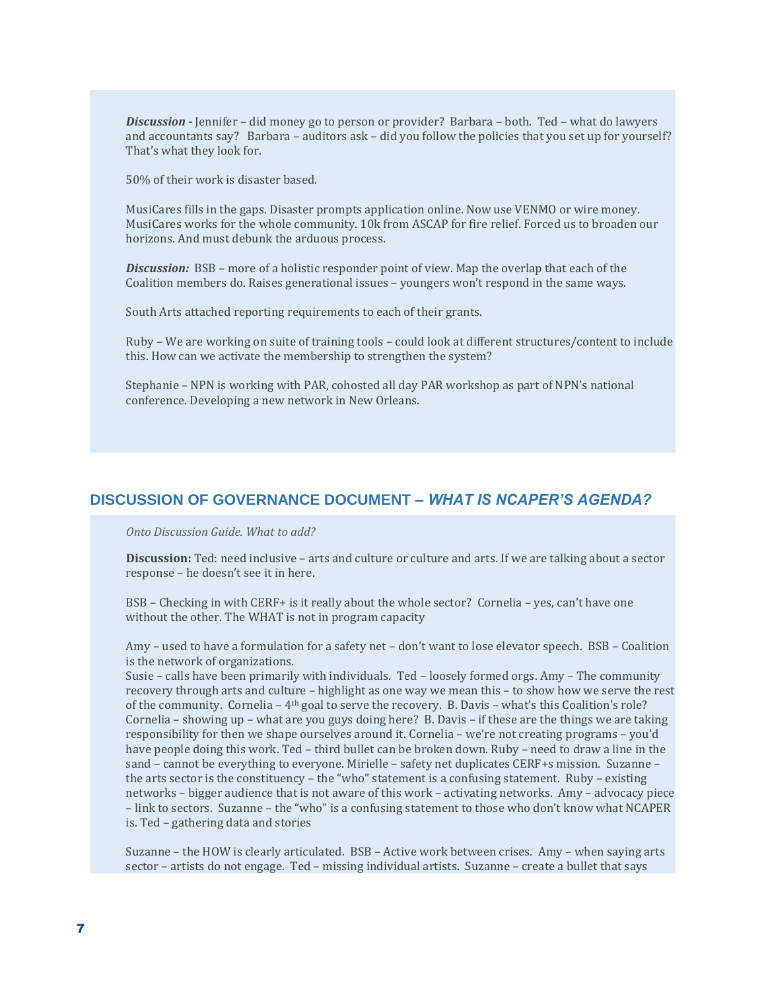*Discussion -* Jennifer – did money go to person or provider? Barbara – both. Ted – what do lawyers and accountants say? Barbara – auditors ask – did you follow the policies that you set up for yourself? That's what they look for.

50% of their work is disaster based.

MusiCares fills in the gaps. Disaster prompts application online. Now use VENMO or wire money. MusiCares works for the whole community. 10k from ASCAP for fire relief. Forced us to broaden our horizons. And must debunk the arduous process.

*Discussion:* BSB – more of a holistic responder point of view. Map the overlap that each of the Coalition members do. Raises generational issues – youngers won't respond in the same ways.

South Arts attached reporting requirements to each of their grants.

Ruby – We are working on suite of training tools – could look at different structures/content to include this. How can we activate the membership to strengthen the system?

Stephanie – NPN is working with PAR, cohosted all day PAR workshop as part of NPN's national conference. Developing a new network in New Orleans.

### **DISCUSSION OF GOVERNANCE DOCUMENT –** *WHAT IS NCAPER'S AGENDA?*

*Onto Discussion Guide. What to add?*

**Discussion:** Ted: need inclusive – arts and culture or culture and arts. If we are talking about a sector response – he doesn't see it in here.

BSB – Checking in with CERF+ is it really about the whole sector? Cornelia – yes, can't have one without the other. The WHAT is not in program capacity

Amy – used to have a formulation for a safety net – don't want to lose elevator speech. BSB – Coalition is the network of organizations.

Susie – calls have been primarily with individuals. Ted – loosely formed orgs. Amy – The community recovery through arts and culture – highlight as one way we mean this – to show how we serve the rest of the community. Cornelia – 4th goal to serve the recovery. B. Davis – what's this Coalition's role? Cornelia – showing up – what are you guys doing here? B. Davis – if these are the things we are taking responsibility for then we shape ourselves around it. Cornelia – we're not creating programs – you'd have people doing this work. Ted – third bullet can be broken down. Ruby – need to draw a line in the sand – cannot be everything to everyone. Mirielle – safety net duplicates CERF+s mission. Suzanne – the arts sector is the constituency – the "who" statement is a confusing statement. Ruby – existing networks – bigger audience that is not aware of this work – activating networks. Amy – advocacy piece – link to sectors. Suzanne – the "who" is a confusing statement to those who don't know what NCAPER is. Ted – gathering data and stories

Suzanne – the HOW is clearly articulated. BSB – Active work between crises. Amy – when saying arts sector – artists do not engage. Ted – missing individual artists. Suzanne – create a bullet that says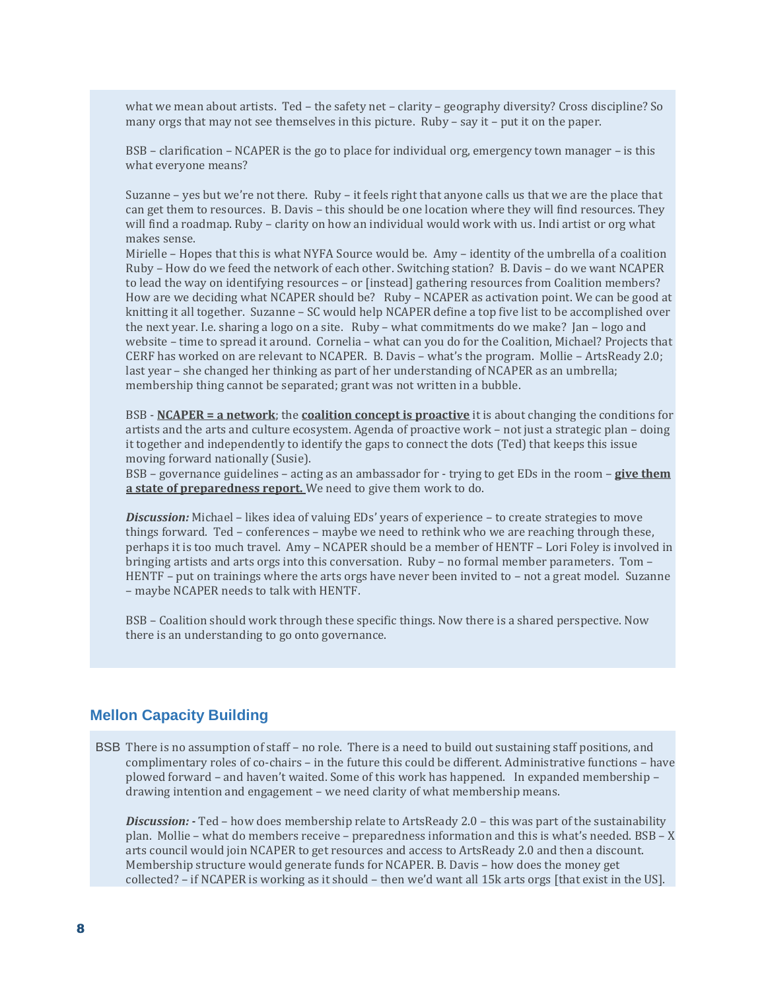what we mean about artists. Ted – the safety net – clarity – geography diversity? Cross discipline? So many orgs that may not see themselves in this picture. Ruby – say it – put it on the paper.

BSB – clarification – NCAPER is the go to place for individual org, emergency town manager – is this what everyone means?

Suzanne – yes but we're not there. Ruby – it feels right that anyone calls us that we are the place that can get them to resources. B. Davis – this should be one location where they will find resources. They will find a roadmap. Ruby – clarity on how an individual would work with us. Indi artist or org what makes sense.

Mirielle – Hopes that this is what NYFA Source would be. Amy – identity of the umbrella of a coalition Ruby – How do we feed the network of each other. Switching station? B. Davis – do we want NCAPER to lead the way on identifying resources – or [instead] gathering resources from Coalition members? How are we deciding what NCAPER should be? Ruby – NCAPER as activation point. We can be good at knitting it all together. Suzanne – SC would help NCAPER define a top five list to be accomplished over the next year. I.e. sharing a logo on a site. Ruby – what commitments do we make? Jan – logo and website – time to spread it around. Cornelia – what can you do for the Coalition, Michael? Projects that CERF has worked on are relevant to NCAPER. B. Davis – what's the program. Mollie – ArtsReady 2.0; last year – she changed her thinking as part of her understanding of NCAPER as an umbrella; membership thing cannot be separated; grant was not written in a bubble.

BSB - **NCAPER = a network**; the **coalition concept is proactive** it is about changing the conditions for artists and the arts and culture ecosystem. Agenda of proactive work – not just a strategic plan – doing it together and independently to identify the gaps to connect the dots (Ted) that keeps this issue moving forward nationally (Susie).

BSB – governance guidelines – acting as an ambassador for - trying to get EDs in the room – **give them a state of preparedness report.** We need to give them work to do.

*Discussion:* Michael – likes idea of valuing EDs' years of experience – to create strategies to move things forward. Ted – conferences – maybe we need to rethink who we are reaching through these, perhaps it is too much travel. Amy – NCAPER should be a member of HENTF – Lori Foley is involved in bringing artists and arts orgs into this conversation. Ruby – no formal member parameters. Tom – HENTF - put on trainings where the arts orgs have never been invited to - not a great model. Suzanne – maybe NCAPER needs to talk with HENTF.

BSB – Coalition should work through these specific things. Now there is a shared perspective. Now there is an understanding to go onto governance.

## **Mellon Capacity Building**

BSB There is no assumption of staff – no role. There is a need to build out sustaining staff positions, and complimentary roles of co-chairs – in the future this could be different. Administrative functions – have plowed forward – and haven't waited. Some of this work has happened. In expanded membership – drawing intention and engagement – we need clarity of what membership means.

*Discussion: -* Ted – how does membership relate to ArtsReady 2.0 – this was part of the sustainability plan. Mollie – what do members receive – preparedness information and this is what's needed. BSB – X arts council would join NCAPER to get resources and access to ArtsReady 2.0 and then a discount. Membership structure would generate funds for NCAPER. B. Davis – how does the money get collected? – if NCAPER is working as it should – then we'd want all 15k arts orgs [that exist in the US].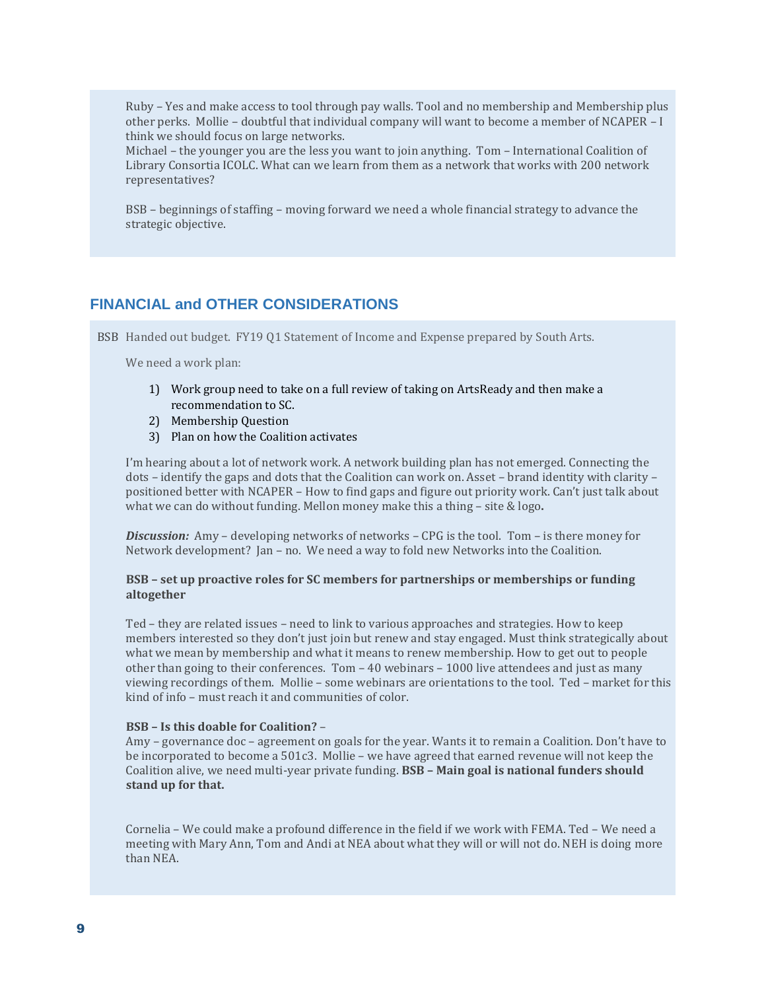Ruby – Yes and make access to tool through pay walls. Tool and no membership and Membership plus other perks. Mollie – doubtful that individual company will want to become a member of NCAPER – I think we should focus on large networks.

Michael – the younger you are the less you want to join anything. Tom – International Coalition of Library Consortia ICOLC. What can we learn from them as a network that works with 200 network representatives?

BSB – beginnings of staffing – moving forward we need a whole financial strategy to advance the strategic objective.

## **FINANCIAL and OTHER CONSIDERATIONS**

BSB Handed out budget. FY19 Q1 Statement of Income and Expense prepared by South Arts.

We need a work plan:

- 1) Work group need to take on a full review of taking on ArtsReady and then make a recommendation to SC.
- 2) Membership Question
- 3) Plan on how the Coalition activates

I'm hearing about a lot of network work. A network building plan has not emerged. Connecting the dots – identify the gaps and dots that the Coalition can work on. Asset – brand identity with clarity – positioned better with NCAPER – How to find gaps and figure out priority work. Can't just talk about what we can do without funding. Mellon money make this a thing – site & logo**.**

*Discussion:* Amy – developing networks of networks – CPG is the tool. Tom – is there money for Network development? Jan – no. We need a way to fold new Networks into the Coalition.

#### **BSB – set up proactive roles for SC members for partnerships or memberships or funding altogether**

Ted – they are related issues – need to link to various approaches and strategies. How to keep members interested so they don't just join but renew and stay engaged. Must think strategically about what we mean by membership and what it means to renew membership. How to get out to people other than going to their conferences. Tom – 40 webinars – 1000 live attendees and just as many viewing recordings of them. Mollie – some webinars are orientations to the tool. Ted – market for this kind of info – must reach it and communities of color.

#### **BSB – Is this doable for Coalition?** –

Amy – governance doc – agreement on goals for the year. Wants it to remain a Coalition. Don't have to be incorporated to become a 501c3. Mollie – we have agreed that earned revenue will not keep the Coalition alive, we need multi-year private funding. **BSB – Main goal is national funders should stand up for that.**

Cornelia – We could make a profound difference in the field if we work with FEMA. Ted – We need a meeting with Mary Ann, Tom and Andi at NEA about what they will or will not do. NEH is doing more than NEA.